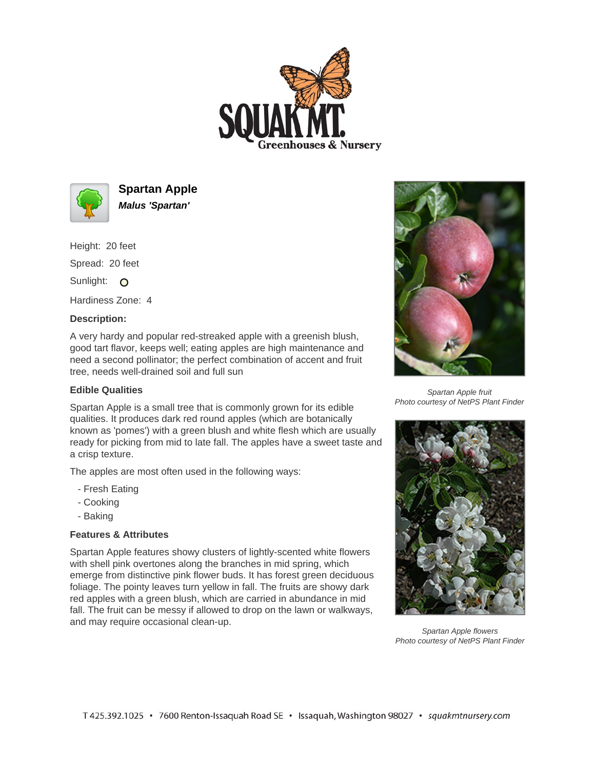



**Spartan Apple Malus 'Spartan'**

Height: 20 feet Spread: 20 feet Sunlight: O

Hardiness Zone: 4

## **Description:**

A very hardy and popular red-streaked apple with a greenish blush, good tart flavor, keeps well; eating apples are high maintenance and need a second pollinator; the perfect combination of accent and fruit tree, needs well-drained soil and full sun

## **Edible Qualities**

Spartan Apple is a small tree that is commonly grown for its edible qualities. It produces dark red round apples (which are botanically known as 'pomes') with a green blush and white flesh which are usually ready for picking from mid to late fall. The apples have a sweet taste and a crisp texture.

The apples are most often used in the following ways:

- Fresh Eating
- Cooking
- Baking

## **Features & Attributes**

Spartan Apple features showy clusters of lightly-scented white flowers with shell pink overtones along the branches in mid spring, which emerge from distinctive pink flower buds. It has forest green deciduous foliage. The pointy leaves turn yellow in fall. The fruits are showy dark red apples with a green blush, which are carried in abundance in mid fall. The fruit can be messy if allowed to drop on the lawn or walkways, and may require occasional clean-up.



Spartan Apple fruit Photo courtesy of NetPS Plant Finder



Spartan Apple flowers Photo courtesy of NetPS Plant Finder